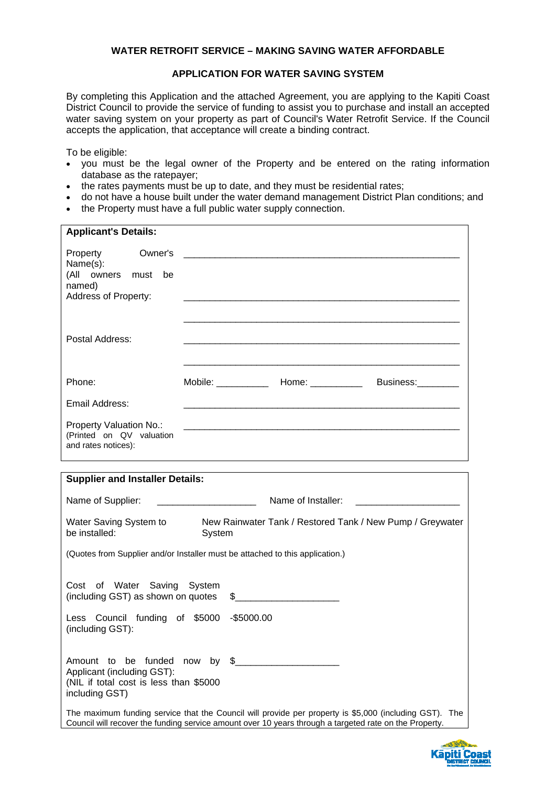### **WATER RETROFIT SERVICE – MAKING SAVING WATER AFFORDABLE**

#### **APPLICATION FOR WATER SAVING SYSTEM**

By completing this Application and the attached Agreement, you are applying to the Kapiti Coast District Council to provide the service of funding to assist you to purchase and install an accepted water saving system on your property as part of Council's Water Retrofit Service. If the Council accepts the application, that acceptance will create a binding contract.

To be eligible:

- you must be the legal owner of the Property and be entered on the rating information database as the ratepayer;
- the rates payments must be up to date, and they must be residential rates;
- do not have a house built under the water demand management District Plan conditions; and
- the Property must have a full public water supply connection.

| <b>Applicant's Details:</b>                                                |                                                                                                                       |                          |  |
|----------------------------------------------------------------------------|-----------------------------------------------------------------------------------------------------------------------|--------------------------|--|
| Name(s):<br>(All owners must be<br>named)<br>Address of Property:          |                                                                                                                       |                          |  |
| Postal Address:                                                            |                                                                                                                       |                          |  |
| Phone:                                                                     | Mobile: Home: Nobile:                                                                                                 | Business: <b>Example</b> |  |
| Email Address:                                                             |                                                                                                                       |                          |  |
| Property Valuation No.:<br>(Printed on QV valuation<br>and rates notices): | <u> 1990 - Jan Samuel Barbara, margaret e populazion del control de la provincia de la provincia del control de l</u> |                          |  |

| <b>Supplier and Installer Details:</b>                                                                                                                                                                           |  |  |  |
|------------------------------------------------------------------------------------------------------------------------------------------------------------------------------------------------------------------|--|--|--|
| Name of Installer:<br>Name of Supplier:                                                                                                                                                                          |  |  |  |
| Water Saving System to<br>New Rainwater Tank / Restored Tank / New Pump / Greywater<br>be installed:<br>System                                                                                                   |  |  |  |
| (Quotes from Supplier and/or Installer must be attached to this application.)                                                                                                                                    |  |  |  |
| Cost of Water Saving System<br>(including GST) as shown on quotes \$<br>Less Council funding of \$5000 -\$5000.00<br>(including GST):                                                                            |  |  |  |
| Amount to be funded now by \$<br>Applicant (including GST):<br>(NIL if total cost is less than \$5000<br>including GST)                                                                                          |  |  |  |
| The maximum funding service that the Council will provide per property is \$5,000 (including GST). The<br>Council will recover the funding service amount over 10 years through a targeted rate on the Property. |  |  |  |

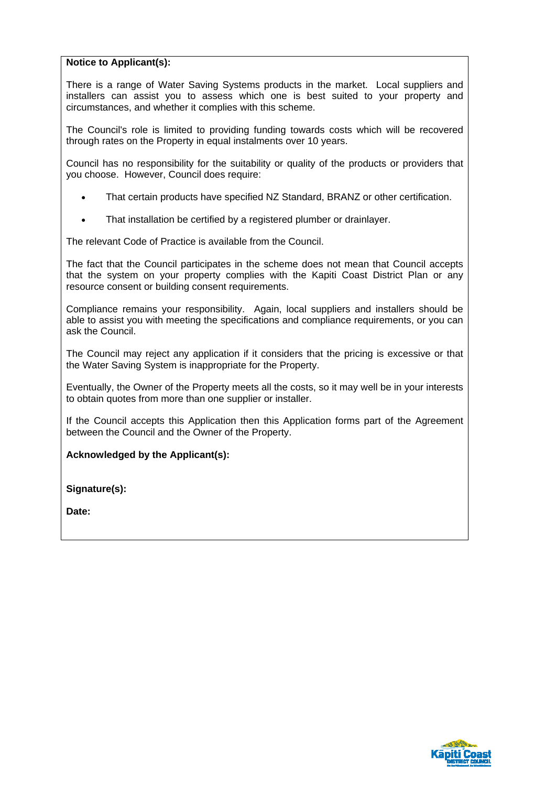# **Notice to Applicant(s):**

There is a range of Water Saving Systems products in the market. Local suppliers and installers can assist you to assess which one is best suited to your property and circumstances, and whether it complies with this scheme.

The Council's role is limited to providing funding towards costs which will be recovered through rates on the Property in equal instalments over 10 years.

Council has no responsibility for the suitability or quality of the products or providers that you choose. However, Council does require:

- That certain products have specified NZ Standard, BRANZ or other certification.
- That installation be certified by a registered plumber or drainlayer.

The relevant Code of Practice is available from the Council.

The fact that the Council participates in the scheme does not mean that Council accepts that the system on your property complies with the Kapiti Coast District Plan or any resource consent or building consent requirements.

Compliance remains your responsibility. Again, local suppliers and installers should be able to assist you with meeting the specifications and compliance requirements, or you can ask the Council.

The Council may reject any application if it considers that the pricing is excessive or that the Water Saving System is inappropriate for the Property.

Eventually, the Owner of the Property meets all the costs, so it may well be in your interests to obtain quotes from more than one supplier or installer.

If the Council accepts this Application then this Application forms part of the Agreement between the Council and the Owner of the Property.

**Acknowledged by the Applicant(s):**

**Signature(s):**

**Date:** 

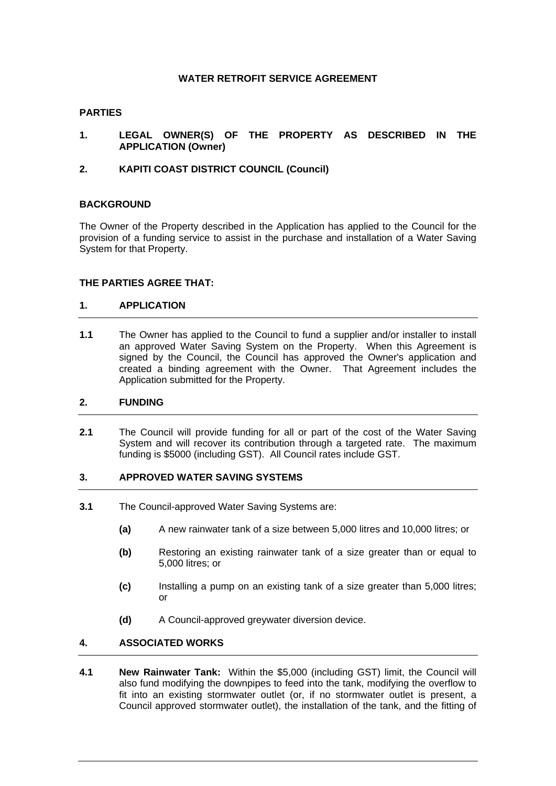## **WATER RETROFIT SERVICE AGREEMENT**

#### **PARTIES**

- **1. LEGAL OWNER(S) OF THE PROPERTY AS DESCRIBED IN THE APPLICATION (Owner)**
- **2. KAPITI COAST DISTRICT COUNCIL (Council)**

#### **BACKGROUND**

The Owner of the Property described in the Application has applied to the Council for the provision of a funding service to assist in the purchase and installation of a Water Saving System for that Property.

#### **THE PARTIES AGREE THAT:**

#### **1. APPLICATION**

**1.1** The Owner has applied to the Council to fund a supplier and/or installer to install an approved Water Saving System on the Property. When this Agreement is signed by the Council, the Council has approved the Owner's application and created a binding agreement with the Owner. That Agreement includes the Application submitted for the Property.

#### **2. FUNDING**

**2.1** The Council will provide funding for all or part of the cost of the Water Saving System and will recover its contribution through a targeted rate. The maximum funding is \$5000 (including GST). All Council rates include GST.

#### **3. APPROVED WATER SAVING SYSTEMS**

- **3.1** The Council-approved Water Saving Systems are:
	- **(a)** A new rainwater tank of a size between 5,000 litres and 10,000 litres; or
	- **(b)** Restoring an existing rainwater tank of a size greater than or equal to 5,000 litres; or
	- **(c)** Installing a pump on an existing tank of a size greater than 5,000 litres; or
	- **(d)** A Council-approved greywater diversion device.

# **4. ASSOCIATED WORKS**

**4.1 New Rainwater Tank:** Within the \$5,000 (including GST) limit, the Council will also fund modifying the downpipes to feed into the tank, modifying the overflow to fit into an existing stormwater outlet (or, if no stormwater outlet is present, a Council approved stormwater outlet), the installation of the tank, and the fitting of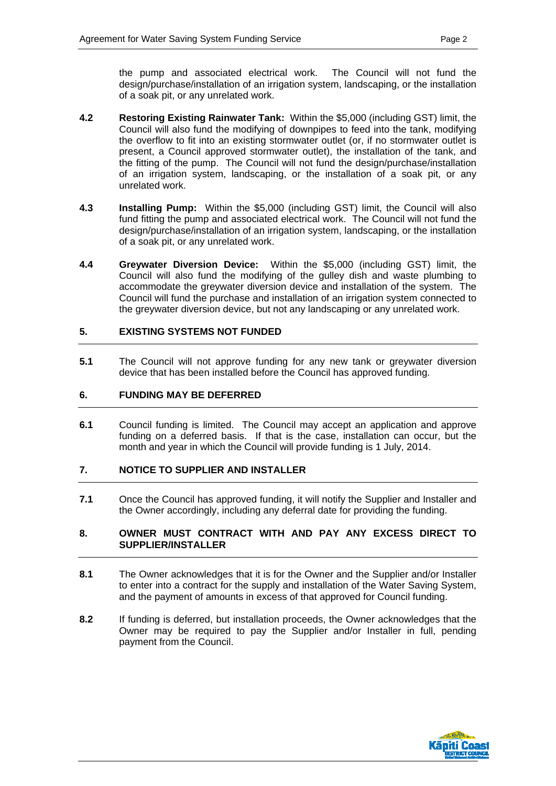the pump and associated electrical work. The Council will not fund the design/purchase/installation of an irrigation system, landscaping, or the installation of a soak pit, or any unrelated work.

- **4.2 Restoring Existing Rainwater Tank:** Within the \$5,000 (including GST) limit, the Council will also fund the modifying of downpipes to feed into the tank, modifying the overflow to fit into an existing stormwater outlet (or, if no stormwater outlet is present, a Council approved stormwater outlet), the installation of the tank, and the fitting of the pump. The Council will not fund the design/purchase/installation of an irrigation system, landscaping, or the installation of a soak pit, or any unrelated work.
- **4.3 Installing Pump:** Within the \$5,000 (including GST) limit, the Council will also fund fitting the pump and associated electrical work. The Council will not fund the design/purchase/installation of an irrigation system, landscaping, or the installation of a soak pit, or any unrelated work.
- **4.4 Greywater Diversion Device:** Within the \$5,000 (including GST) limit, the Council will also fund the modifying of the gulley dish and waste plumbing to accommodate the greywater diversion device and installation of the system. The Council will fund the purchase and installation of an irrigation system connected to the greywater diversion device, but not any landscaping or any unrelated work.

#### **5. EXISTING SYSTEMS NOT FUNDED**

**5.1** The Council will not approve funding for any new tank or greywater diversion device that has been installed before the Council has approved funding.

### **6. FUNDING MAY BE DEFERRED**

**6.1** Council funding is limited. The Council may accept an application and approve funding on a deferred basis. If that is the case, installation can occur, but the month and year in which the Council will provide funding is 1 July, 2014.

# **7. NOTICE TO SUPPLIER AND INSTALLER**

**7.1** Once the Council has approved funding, it will notify the Supplier and Installer and the Owner accordingly, including any deferral date for providing the funding.

#### **8. OWNER MUST CONTRACT WITH AND PAY ANY EXCESS DIRECT TO SUPPLIER/INSTALLER**

- **8.1** The Owner acknowledges that it is for the Owner and the Supplier and/or Installer to enter into a contract for the supply and installation of the Water Saving System, and the payment of amounts in excess of that approved for Council funding.
- **8.2** If funding is deferred, but installation proceeds, the Owner acknowledges that the Owner may be required to pay the Supplier and/or Installer in full, pending payment from the Council.

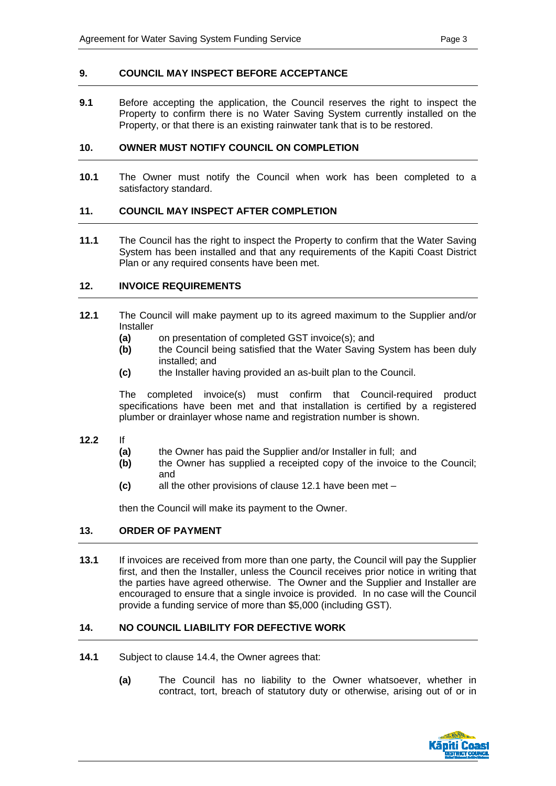#### **9. COUNCIL MAY INSPECT BEFORE ACCEPTANCE**

**9.1** Before accepting the application, the Council reserves the right to inspect the Property to confirm there is no Water Saving System currently installed on the Property, or that there is an existing rainwater tank that is to be restored.

### **10. OWNER MUST NOTIFY COUNCIL ON COMPLETION**

**10.1** The Owner must notify the Council when work has been completed to a satisfactory standard.

## **11. COUNCIL MAY INSPECT AFTER COMPLETION**

**11.1** The Council has the right to inspect the Property to confirm that the Water Saving System has been installed and that any requirements of the Kapiti Coast District Plan or any required consents have been met.

### **12. INVOICE REQUIREMENTS**

- **12.1** The Council will make payment up to its agreed maximum to the Supplier and/or Installer
	- **(a)** on presentation of completed GST invoice(s); and
	- **(b)** the Council being satisfied that the Water Saving System has been duly installed; and
	- **(c)** the Installer having provided an as-built plan to the Council.

The completed invoice(s) must confirm that Council-required product specifications have been met and that installation is certified by a registered plumber or drainlayer whose name and registration number is shown.

- **12.2** If
	- **(a)** the Owner has paid the Supplier and/or Installer in full; and
	- **(b)** the Owner has supplied a receipted copy of the invoice to the Council; and
	- **(c)** all the other provisions of clause 12.1 have been met –

then the Council will make its payment to the Owner.

#### **13. ORDER OF PAYMENT**

**13.1** If invoices are received from more than one party, the Council will pay the Supplier first, and then the Installer, unless the Council receives prior notice in writing that the parties have agreed otherwise. The Owner and the Supplier and Installer are encouraged to ensure that a single invoice is provided. In no case will the Council provide a funding service of more than \$5,000 (including GST).

# **14. NO COUNCIL LIABILITY FOR DEFECTIVE WORK**

- **14.1** Subject to clause 14.4, the Owner agrees that:
	- **(a)** The Council has no liability to the Owner whatsoever, whether in contract, tort, breach of statutory duty or otherwise, arising out of or in

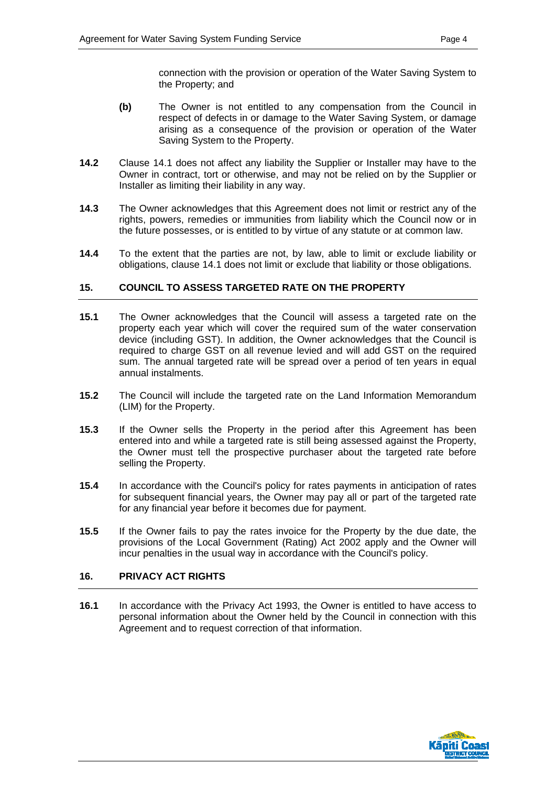connection with the provision or operation of the Water Saving System to the Property; and

- **(b)** The Owner is not entitled to any compensation from the Council in respect of defects in or damage to the Water Saving System, or damage arising as a consequence of the provision or operation of the Water Saving System to the Property.
- **14.2** Clause 14.1 does not affect any liability the Supplier or Installer may have to the Owner in contract, tort or otherwise, and may not be relied on by the Supplier or Installer as limiting their liability in any way.
- **14.3** The Owner acknowledges that this Agreement does not limit or restrict any of the rights, powers, remedies or immunities from liability which the Council now or in the future possesses, or is entitled to by virtue of any statute or at common law.
- **14.4** To the extent that the parties are not, by law, able to limit or exclude liability or obligations, clause 14.1 does not limit or exclude that liability or those obligations.

## **15. COUNCIL TO ASSESS TARGETED RATE ON THE PROPERTY**

- **15.1** The Owner acknowledges that the Council will assess a targeted rate on the property each year which will cover the required sum of the water conservation device (including GST). In addition, the Owner acknowledges that the Council is required to charge GST on all revenue levied and will add GST on the required sum. The annual targeted rate will be spread over a period of ten years in equal annual instalments.
- **15.2** The Council will include the targeted rate on the Land Information Memorandum (LIM) for the Property.
- **15.3** If the Owner sells the Property in the period after this Agreement has been entered into and while a targeted rate is still being assessed against the Property, the Owner must tell the prospective purchaser about the targeted rate before selling the Property.
- **15.4** In accordance with the Council's policy for rates payments in anticipation of rates for subsequent financial years, the Owner may pay all or part of the targeted rate for any financial year before it becomes due for payment.
- **15.5** If the Owner fails to pay the rates invoice for the Property by the due date, the provisions of the Local Government (Rating) Act 2002 apply and the Owner will incur penalties in the usual way in accordance with the Council's policy.

#### **16. PRIVACY ACT RIGHTS**

**16.1** In accordance with the Privacy Act 1993, the Owner is entitled to have access to personal information about the Owner held by the Council in connection with this Agreement and to request correction of that information.